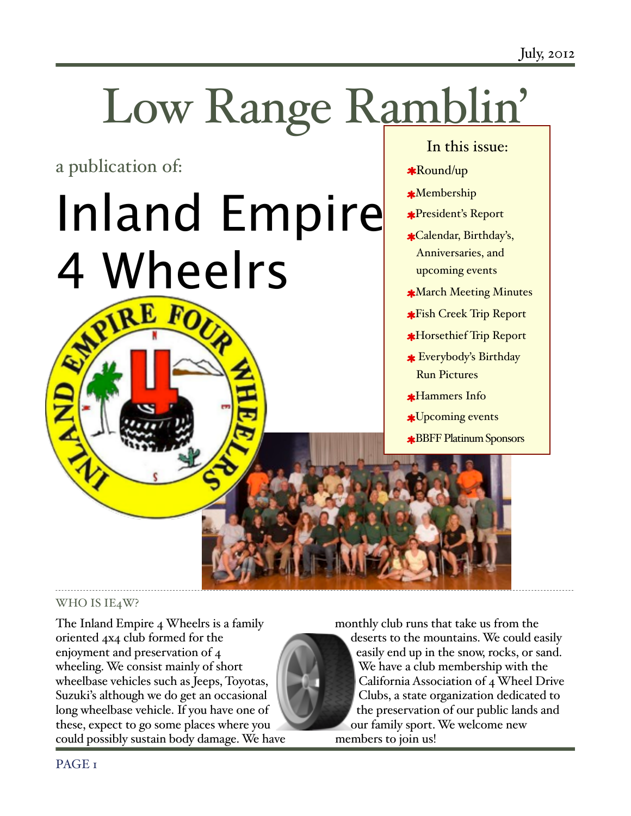# Low Range Ramblin'

a publication of:

# Inland Empire 4 Wheelrs

# In this issue:

- Round/up
- Membership
- President's Report
- Calendar, Birthday's, Anniversaries, and upcoming events
- March Meeting Minutes
- Fish Creek Trip Report
- Horsethief Trip Report
- Everybody's Birthday Run Pictures
- **\*Hammers Info**
- Upcoming events
- BBFF Platinum Sponsors

# WHO IS IE4W?

The Inland Empire 4 Wheelrs is a family oriented 4x4 club formed for the enjoyment and preservation of 4 wheeling. We consist mainly of short wheelbase vehicles such as Jeeps, Toyotas, Suzuki's although we do get an occasional long wheelbase vehicle. If you have one of these, expect to go some places where you could possibly sustain body damage. We have

monthly club runs that take us from the deserts to the mountains. We could easily easily end up in the snow, rocks, or sand. We have a club membership with the California Association of 4 Wheel Drive Clubs, a state organization dedicated to the preservation of our public lands and our family sport. We welcome new members to join us!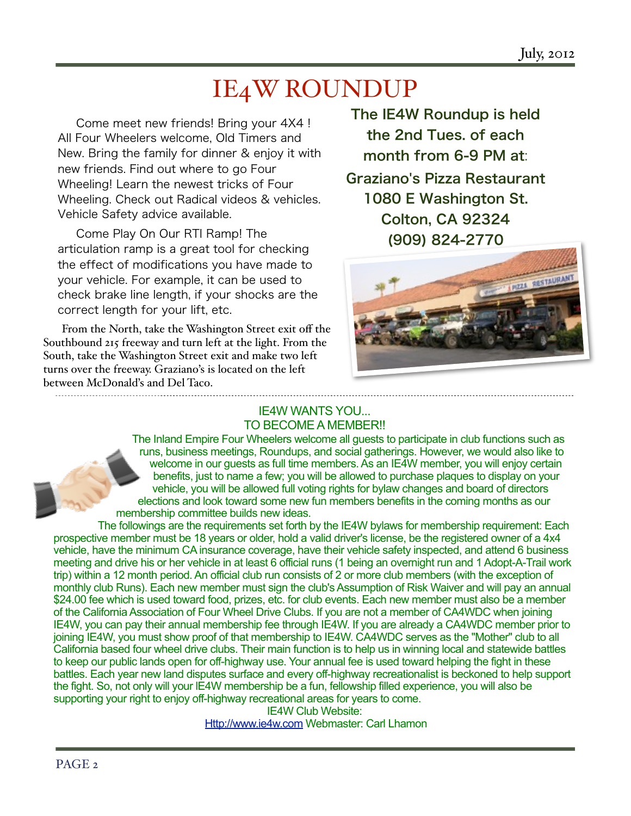July, 2012

# IE4W ROUNDUP

Come meet new friends! Bring your 4X4 ! All Four Wheelers welcome, Old Timers and New. Bring the family for dinner & enjoy it with new friends. Find out where to go Four Wheeling! Learn the newest tricks of Four Wheeling. Check out Radical videos & vehicles. Vehicle Safety advice available.

Come Play On Our RTI Ramp! The articulation ramp is a great tool for checking the effect of modifications you have made to your vehicle. For example, it can be used to check brake line length, if your shocks are the correct length for your lift, etc.

From the North, take the Washington Street exit off the Southbound 215 freeway and turn left at the light. From the South, take the Washington Street exit and make two left turns over the freeway. Graziano's is located on the left between McDonald's and Del Taco.

The IE4W Roundup is held the 2nd Tues. of each month from 6-9 PM at: Graziano's Pizza Restaurant 1080 E Washington St. Colton, CA 92324 (909) 824-2770



#### IE4W WANTS YOU... TO BECOME A MEMBER!!

The Inland Empire Four Wheelers welcome all guests to participate in club functions such as runs, business meetings, Roundups, and social gatherings. However, we would also like to welcome in our guests as full time members. As an IE4W member, you will enjoy certain benefits, just to name a few; you will be allowed to purchase plaques to display on your vehicle, you will be allowed full voting rights for bylaw changes and board of directors elections and look toward some new fun members benefits in the coming months as our membership committee builds new ideas.

The followings are the requirements set forth by the IE4W bylaws for membership requirement: Each prospective member must be 18 years or older, hold a valid driver's license, be the registered owner of a 4x4 vehicle, have the minimum CA insurance coverage, have their vehicle safety inspected, and attend 6 business meeting and drive his or her vehicle in at least 6 official runs (1 being an overnight run and 1 Adopt-A-Trail work trip) within a 12 month period. An official club run consists of 2 or more club members (with the exception of monthly club Runs). Each new member must sign the club's Assumption of Risk Waiver and will pay an annual \$24.00 fee which is used toward food, prizes, etc. for club events. Each new member must also be a member of the California Association of Four Wheel Drive Clubs. If you are not a member of CA4WDC when joining IE4W, you can pay their annual membership fee through IE4W. If you are already a CA4WDC member prior to joining IE4W, you must show proof of that membership to IE4W. CA4WDC serves as the "Mother" club to all California based four wheel drive clubs. Their main function is to help us in winning local and statewide battles to keep our public lands open for off-highway use. Your annual fee is used toward helping the fight in these battles. Each year new land disputes surface and every off-highway recreationalist is beckoned to help support the fight. So, not only will your lE4W membership be a fun, fellowship filled experience, you will also be supporting your right to enjoy off-highway recreational areas for years to come.

IE4W Club Website: <Http://www.ie4w.com>Webmaster: Carl Lhamon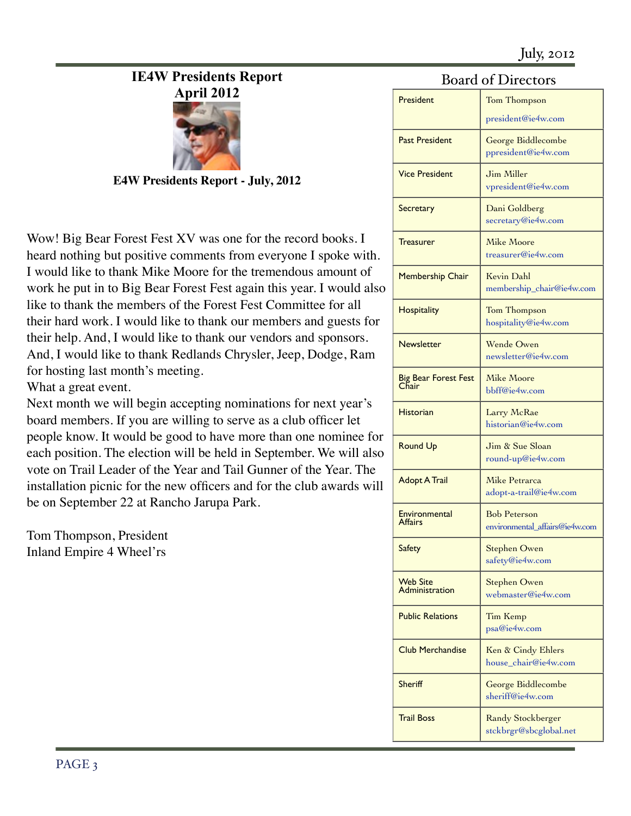# **IE4W Presidents Report**



**E4W Presidents Report - July, 2012**

Wow! Big Bear Forest Fest XV was one for the record books. I heard nothing but positive comments from everyone I spoke with. I would like to thank Mike Moore for the tremendous amount of work he put in to Big Bear Forest Fest again this year. I would also like to thank the members of the Forest Fest Committee for all their hard work. I would like to thank our members and guests for their help. And, I would like to thank our vendors and sponsors. And, I would like to thank Redlands Chrysler, Jeep, Dodge, Ram for hosting last month's meeting.

What a great event.

Next month we will begin accepting nominations for next year's board members. If you are willing to serve as a club officer let people know. It would be good to have more than one nominee for each position. The election will be held in September. We will also vote on Trail Leader of the Year and Tail Gunner of the Year. The installation picnic for the new officers and for the club awards will be on September 22 at Rancho Jarupa Park.

Tom Thompson, President Inland Empire 4 Wheel'rs

## Board of Directors

| Dualu ul Dilectuis                |                                                       |
|-----------------------------------|-------------------------------------------------------|
| President                         | Tom Thompson                                          |
|                                   | president@ie4w.com                                    |
| <b>Past President</b>             | George Biddlecombe<br>ppresident@ie4w.com             |
| <b>Vice President</b>             | Jim Miller<br>vpresident@ie4w.com                     |
| <b>Secretary</b>                  | Dani Goldberg<br>secretary@ie4w.com                   |
| <b>Treasurer</b>                  | Mike Moore<br>treasurer@ie4w.com                      |
| <b>Membership Chair</b>           | Kevin Dahl<br>membership_chair@ie4w.com               |
| <b>Hospitality</b>                | Tom Thompson<br>hospitality@ie4w.com                  |
| <b>Newsletter</b>                 | Wende Owen<br>newsletter@ie4w.com                     |
| Big Bear Forest Fest<br>Chair     | Mike Moore<br>bbff@ie4w.com                           |
| <b>Historian</b>                  | Larry McRae<br>historian@ie4w.com                     |
| <b>Round Up</b>                   | Jim & Sue Sloan<br>round-up@ie4w.com                  |
| <b>Adopt A Trail</b>              | Mike Petrarca<br>adopt-a-trail@ie4w.com               |
| Environmental<br>Affairs          | <b>Bob Peterson</b><br>environmental affairs@ie4w.com |
| <b>Safety</b>                     | <b>Stephen Owen</b><br>safety@ie4w.com                |
| <b>Web Site</b><br>Administration | Stephen Owen<br>webmaster@ie4w.com                    |
| <b>Public Relations</b>           | Tim Kemp<br>psa@ie4w.com                              |
| <b>Club Merchandise</b>           | Ken & Cindy Ehlers<br>house_chair@ie4w.com            |
| Sheriff                           | George Biddlecombe<br>sheriff@ie4w.com                |
| <b>Trail Boss</b>                 | <b>Randy Stockberger</b><br>stckbrgr@sbcglobal.net    |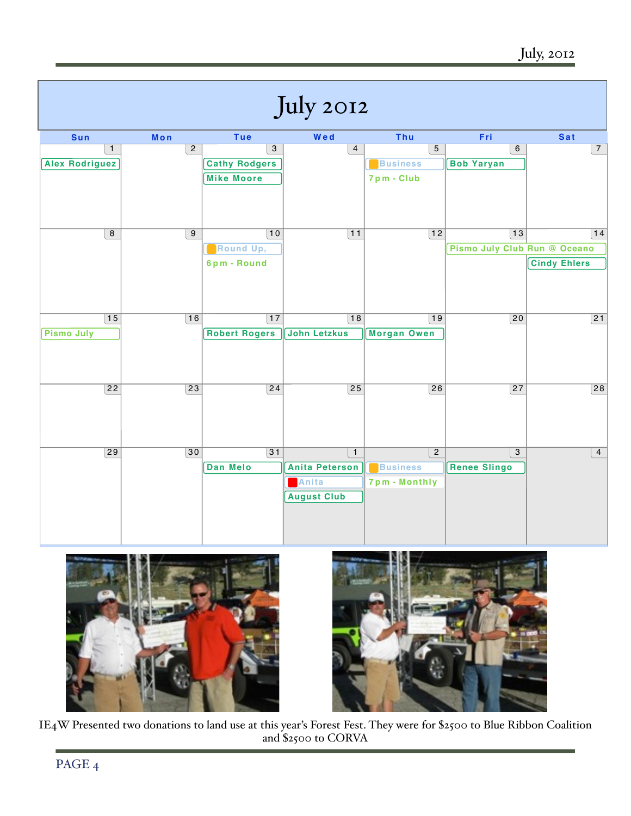





IE4W Presented two donations to land use at this year's Forest Fest. They were for \$2500 to Blue Ribbon Coalition and \$2500 to CORVA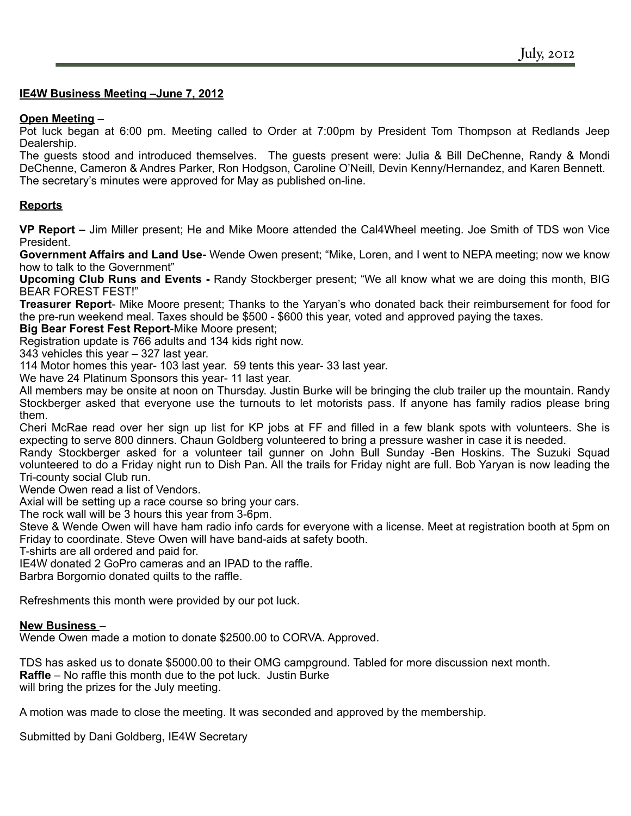#### **IE4W Business Meeting –June 7, 2012**

#### **Open Meeting** –

Pot luck began at 6:00 pm. Meeting called to Order at 7:00pm by President Tom Thompson at Redlands Jeep Dealership.

The guests stood and introduced themselves. The guests present were: Julia & Bill DeChenne, Randy & Mondi DeChenne, Cameron & Andres Parker, Ron Hodgson, Caroline O'Neill, Devin Kenny/Hernandez, and Karen Bennett. The secretary's minutes were approved for May as published on-line.

#### **Reports**

**VP Report –** Jim Miller present; He and Mike Moore attended the Cal4Wheel meeting. Joe Smith of TDS won Vice President.

**Government Affairs and Land Use-** Wende Owen present; "Mike, Loren, and I went to NEPA meeting; now we know how to talk to the Government"

**Upcoming Club Runs and Events -** Randy Stockberger present; "We all know what we are doing this month, BIG BEAR FOREST FEST!"

**Treasurer Report**- Mike Moore present; Thanks to the Yaryan's who donated back their reimbursement for food for the pre-run weekend meal. Taxes should be \$500 - \$600 this year, voted and approved paying the taxes.

**Big Bear Forest Fest Report**-Mike Moore present;

Registration update is 766 adults and 134 kids right now.

343 vehicles this year – 327 last year.

114 Motor homes this year- 103 last year. 59 tents this year- 33 last year.

We have 24 Platinum Sponsors this year- 11 last year.

All members may be onsite at noon on Thursday. Justin Burke will be bringing the club trailer up the mountain. Randy Stockberger asked that everyone use the turnouts to let motorists pass. If anyone has family radios please bring them.

Cheri McRae read over her sign up list for KP jobs at FF and filled in a few blank spots with volunteers. She is expecting to serve 800 dinners. Chaun Goldberg volunteered to bring a pressure washer in case it is needed.

Randy Stockberger asked for a volunteer tail gunner on John Bull Sunday -Ben Hoskins. The Suzuki Squad volunteered to do a Friday night run to Dish Pan. All the trails for Friday night are full. Bob Yaryan is now leading the Tri-county social Club run.

Wende Owen read a list of Vendors.

Axial will be setting up a race course so bring your cars.

The rock wall will be 3 hours this year from 3-6pm.

Steve & Wende Owen will have ham radio info cards for everyone with a license. Meet at registration booth at 5pm on Friday to coordinate. Steve Owen will have band-aids at safety booth.

T-shirts are all ordered and paid for.

IE4W donated 2 GoPro cameras and an IPAD to the raffle.

Barbra Borgornio donated quilts to the raffle.

Refreshments this month were provided by our pot luck.

#### **New Business** –

Wende Owen made a motion to donate \$2500.00 to CORVA. Approved.

TDS has asked us to donate \$5000.00 to their OMG campground. Tabled for more discussion next month. **Raffle** – No raffle this month due to the pot luck. Justin Burke will bring the prizes for the July meeting.

A motion was made to close the meeting. It was seconded and approved by the membership.

Submitted by Dani Goldberg, IE4W Secretary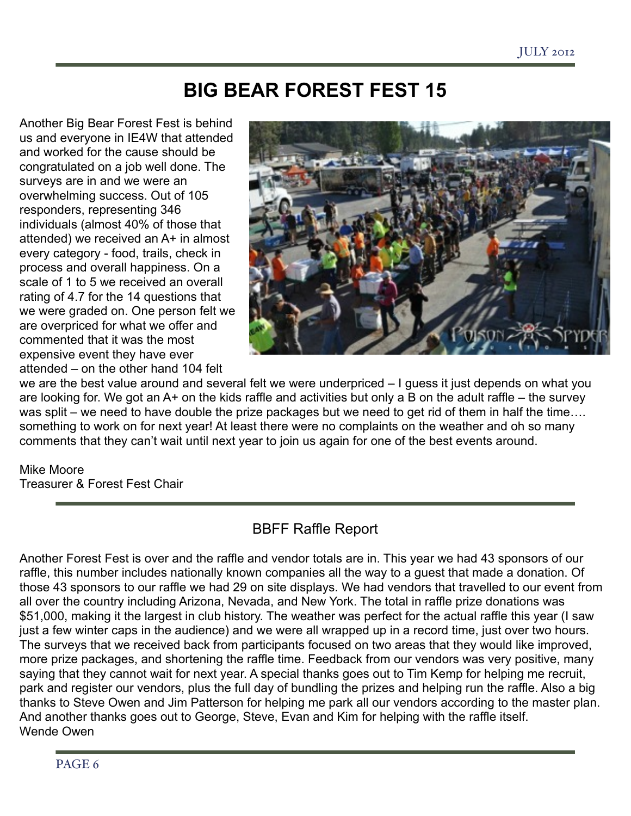# **BIG BEAR FOREST FEST 15**

Another Big Bear Forest Fest is behind us and everyone in IE4W that attended and worked for the cause should be congratulated on a job well done. The surveys are in and we were an overwhelming success. Out of 105 responders, representing 346 individuals (almost 40% of those that attended) we received an A+ in almost every category - food, trails, check in process and overall happiness. On a scale of 1 to 5 we received an overall rating of 4.7 for the 14 questions that we were graded on. One person felt we are overpriced for what we offer and commented that it was the most expensive event they have ever attended – on the other hand 104 felt



we are the best value around and several felt we were underpriced – I guess it just depends on what you are looking for. We got an A+ on the kids raffle and activities but only a B on the adult raffle – the survey was split – we need to have double the prize packages but we need to get rid of them in half the time.... something to work on for next year! At least there were no complaints on the weather and oh so many comments that they can't wait until next year to join us again for one of the best events around.

### Mike Moore

Treasurer & Forest Fest Chair

# BBFF Raffle Report

Another Forest Fest is over and the raffle and vendor totals are in. This year we had 43 sponsors of our raffle, this number includes nationally known companies all the way to a guest that made a donation. Of those 43 sponsors to our raffle we had 29 on site displays. We had vendors that travelled to our event from all over the country including Arizona, Nevada, and New York. The total in raffle prize donations was \$51,000, making it the largest in club history. The weather was perfect for the actual raffle this year (I saw just a few winter caps in the audience) and we were all wrapped up in a record time, just over two hours. The surveys that we received back from participants focused on two areas that they would like improved, more prize packages, and shortening the raffle time. Feedback from our vendors was very positive, many saying that they cannot wait for next year. A special thanks goes out to Tim Kemp for helping me recruit, park and register our vendors, plus the full day of bundling the prizes and helping run the raffle. Also a big thanks to Steve Owen and Jim Patterson for helping me park all our vendors according to the master plan. And another thanks goes out to George, Steve, Evan and Kim for helping with the raffle itself. Wende Owen

PAGE 6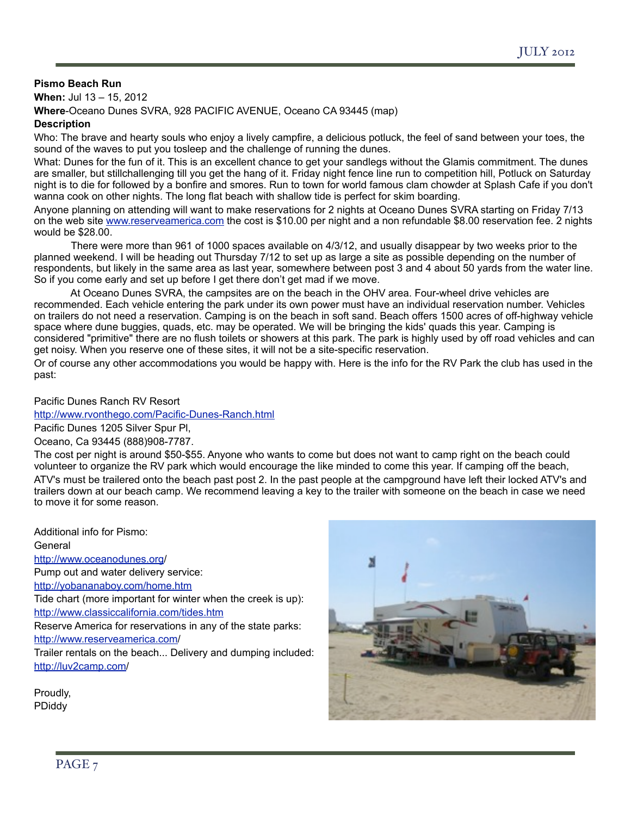#### **Pismo Beach Run**

**When:** Jul 13 – 15, 2012 **Where**-Oceano Dunes SVRA, 928 PACIFIC AVENUE, Oceano CA 93445 (map)

#### **Description**

Who: The brave and hearty souls who enjoy a lively campfire, a delicious potluck, the feel of sand between your toes, the sound of the waves to put you tosleep and the challenge of running the dunes.

What: Dunes for the fun of it. This is an excellent chance to get your sandlegs without the Glamis commitment. The dunes are smaller, but stillchallenging till you get the hang of it. Friday night fence line run to competition hill, Potluck on Saturday night is to die for followed by a bonfire and smores. Run to town for world famous clam chowder at Splash Cafe if you don't wanna cook on other nights. The long flat beach with shallow tide is perfect for skim boarding.

Anyone planning on attending will want to make reservations for 2 nights at Oceano Dunes SVRA starting on Friday 7/13 on the web site [www.reserveamerica.com](http://www.reserveamerica.com) the cost is \$10.00 per night and a non refundable \$8.00 reservation fee. 2 nights would be \$28.00.

 There were more than 961 of 1000 spaces available on 4/3/12, and usually disappear by two weeks prior to the planned weekend. I will be heading out Thursday 7/12 to set up as large a site as possible depending on the number of respondents, but likely in the same area as last year, somewhere between post 3 and 4 about 50 yards from the water line. So if you come early and set up before I get there don't get mad if we move.

 At Oceano Dunes SVRA, the campsites are on the beach in the OHV area. Four-wheel drive vehicles are recommended. Each vehicle entering the park under its own power must have an individual reservation number. Vehicles on trailers do not need a reservation. Camping is on the beach in soft sand. Beach offers 1500 acres of off-highway vehicle space where dune buggies, quads, etc. may be operated. We will be bringing the kids' quads this year. Camping is considered "primitive" there are no flush toilets or showers at this park. The park is highly used by off road vehicles and can get noisy. When you reserve one of these sites, it will not be a site-specific reservation.

Or of course any other accommodations you would be happy with. Here is the info for the RV Park the club has used in the past:

#### Pacific Dunes Ranch RV Resort

<http://www.rvonthego.com/Pacific-Dunes-Ranch.html>

Pacific Dunes 1205 Silver Spur Pl,

Oceano, Ca 93445 (888)908-7787.

The cost per night is around \$50-\$55. Anyone who wants to come but does not want to camp right on the beach could volunteer to organize the RV park which would encourage the like minded to come this year. If camping off the beach, ATV's must be trailered onto the beach past post 2. In the past people at the campground have left their locked ATV's and trailers down at our beach camp. We recommend leaving a key to the trailer with someone on the beach in case we need to move it for some reason.

Additional info for Pismo:

General

[http://www.oceanodunes.org/](http://www.oceanodunes.org)

Pump out and water delivery service:

<http://yobananaboy.com/home.htm>

Tide chart (more important for winter when the creek is up): <http://www.classiccalifornia.com/tides.htm>

Reserve America for reservations in any of the state parks: [http://www.reserveamerica.com/](http://www.reserveamerica.com)

Trailer rentals on the beach... Delivery and dumping included: [http://luv2camp.com/](http://luv2camp.com)

Proudly, PDiddy

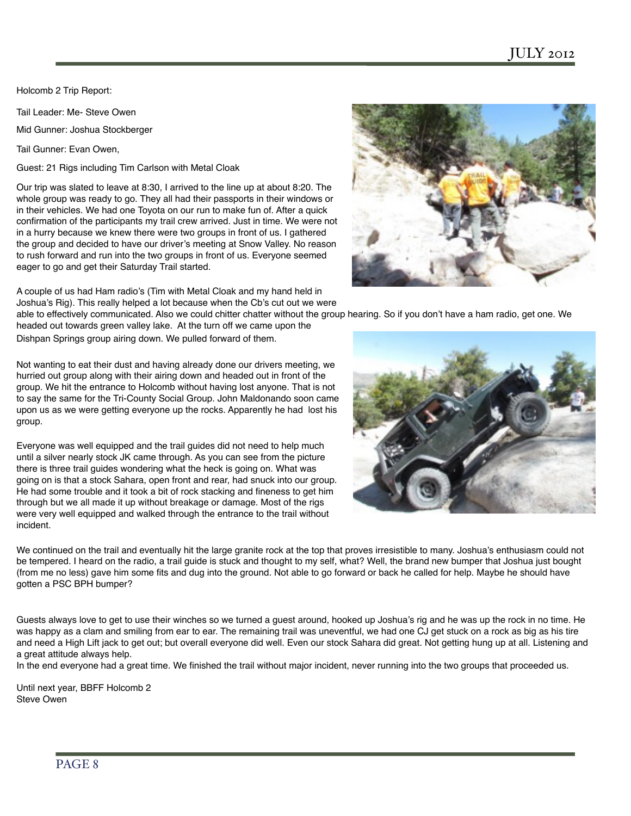Holcomb 2 Trip Report:

Tail Leader: Me- Steve Owen

Mid Gunner: Joshua Stockberger

Tail Gunner: Evan Owen,

Guest: 21 Rigs including Tim Carlson with Metal Cloak

Our trip was slated to leave at 8:30, I arrived to the line up at about 8:20. The whole group was ready to go. They all had their passports in their windows or in their vehicles. We had one Toyota on our run to make fun of. After a quick confirmation of the participants my trail crew arrived. Just in time. We were not in a hurry because we knew there were two groups in front of us. I gathered the group and decided to have our driver's meeting at Snow Valley. No reason to rush forward and run into the two groups in front of us. Everyone seemed eager to go and get their Saturday Trail started.

A couple of us had Ham radio's (Tim with Metal Cloak and my hand held in Joshua's Rig). This really helped a lot because when the Cb's cut out we were

able to effectively communicated. Also we could chitter chatter without the group hearing. So if you don't have a ham radio, get one. We headed out towards green valley lake. At the turn off we came upon the

Dishpan Springs group airing down. We pulled forward of them.

Not wanting to eat their dust and having already done our drivers meeting, we hurried out group along with their airing down and headed out in front of the group. We hit the entrance to Holcomb without having lost anyone. That is not to say the same for the Tri-County Social Group. John Maldonando soon came upon us as we were getting everyone up the rocks. Apparently he had lost his group.

Everyone was well equipped and the trail guides did not need to help much until a silver nearly stock JK came through. As you can see from the picture there is three trail guides wondering what the heck is going on. What was going on is that a stock Sahara, open front and rear, had snuck into our group. He had some trouble and it took a bit of rock stacking and fineness to get him through but we all made it up without breakage or damage. Most of the rigs were very well equipped and walked through the entrance to the trail without incident.



We continued on the trail and eventually hit the large granite rock at the top that proves irresistible to many. Joshua's enthusiasm could not be tempered. I heard on the radio, a trail guide is stuck and thought to my self, what? Well, the brand new bumper that Joshua just bought (from me no less) gave him some fits and dug into the ground. Not able to go forward or back he called for help. Maybe he should have gotten a PSC BPH bumper?

Guests always love to get to use their winches so we turned a guest around, hooked up Joshua's rig and he was up the rock in no time. He was happy as a clam and smiling from ear to ear. The remaining trail was uneventful, we had one CJ get stuck on a rock as big as his tire and need a High Lift jack to get out; but overall everyone did well. Even our stock Sahara did great. Not getting hung up at all. Listening and a great attitude always help.

In the end everyone had a great time. We finished the trail without major incident, never running into the two groups that proceeded us.

Until next year, BBFF Holcomb 2 Steve Owen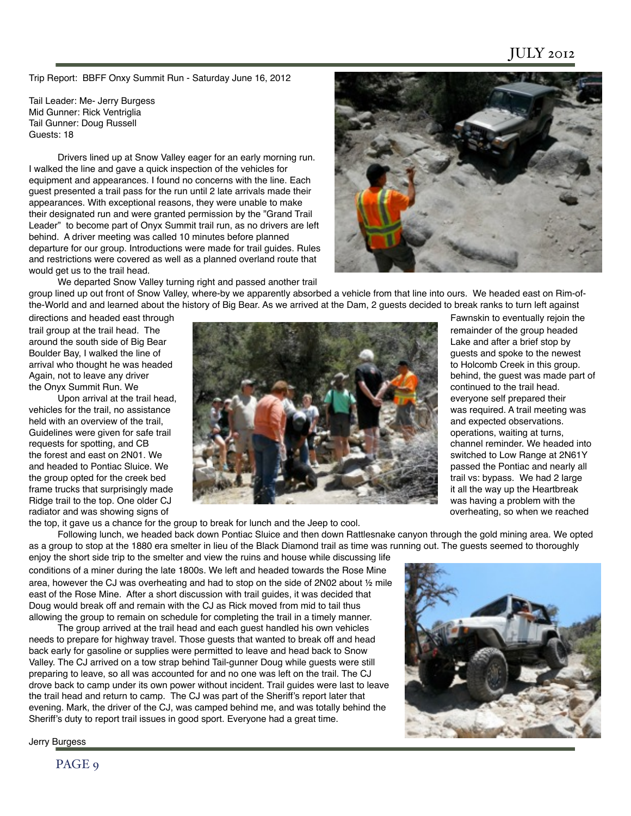Trip Report: BBFF Onxy Summit Run - Saturday June 16, 2012

Tail Leader: Me- Jerry Burgess Mid Gunner: Rick Ventriglia Tail Gunner: Doug Russell Guests: 18

Drivers lined up at Snow Valley eager for an early morning run. I walked the line and gave a quick inspection of the vehicles for equipment and appearances. I found no concerns with the line. Each guest presented a trail pass for the run until 2 late arrivals made their appearances. With exceptional reasons, they were unable to make their designated run and were granted permission by the "Grand Trail Leader" to become part of Onyx Summit trail run, as no drivers are left behind. A driver meeting was called 10 minutes before planned departure for our group. Introductions were made for trail guides. Rules and restrictions were covered as well as a planned overland route that would get us to the trail head.



We departed Snow Valley turning right and passed another trail

group lined up out front of Snow Valley, where-by we apparently absorbed a vehicle from that line into ours. We headed east on Rim-ofthe-World and and learned about the history of Big Bear. As we arrived at the Dam, 2 guests decided to break ranks to turn left against

the Onyx Summit Run. We<br>Upon arrival at the trail head.

frame trucks that surprisingly made radiator and was showing signs of overheating, so when we reached



everyone self prepared their passed the Pontiac and nearly all<br>trail vs: bypass. We had 2 large

the top, it gave us a chance for the group to break for lunch and the Jeep to cool.

Following lunch, we headed back down Pontiac Sluice and then down Rattlesnake canyon through the gold mining area. We opted as a group to stop at the 1880 era smelter in lieu of the Black Diamond trail as time was running out. The guests seemed to thoroughly enjoy the short side trip to the smelter and view the ruins and house while discussing life

conditions of a miner during the late 1800s. We left and headed towards the Rose Mine area, however the CJ was overheating and had to stop on the side of 2N02 about ½ mile east of the Rose Mine. After a short discussion with trail guides, it was decided that Doug would break off and remain with the CJ as Rick moved from mid to tail thus allowing the group to remain on schedule for completing the trail in a timely manner.

The group arrived at the trail head and each guest handled his own vehicles needs to prepare for highway travel. Those guests that wanted to break off and head back early for gasoline or supplies were permitted to leave and head back to Snow Valley. The CJ arrived on a tow strap behind Tail-gunner Doug while guests were still preparing to leave, so all was accounted for and no one was left on the trail. The CJ drove back to camp under its own power without incident. Trail guides were last to leave the trail head and return to camp. The CJ was part of the Sheriff's report later that evening. Mark, the driver of the CJ, was camped behind me, and was totally behind the Sheriff's duty to report trail issues in good sport. Everyone had a great time.



Jerry Burgess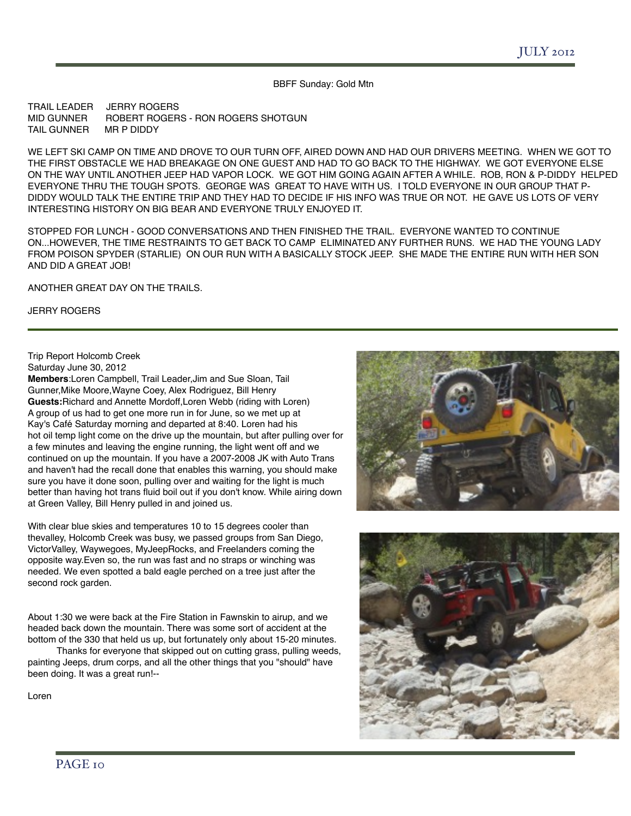BBFF Sunday: Gold Mtn

TRAIL LEADER JERRY ROGERS<br>MID GUNNER ROBERT ROGER ROBERT ROGERS - RON ROGERS SHOTGUN<br>MR P DIDDY TAIL GUNNER

WE LEFT SKI CAMP ON TIME AND DROVE TO OUR TURN OFF, AIRED DOWN AND HAD OUR DRIVERS MEETING. WHEN WE GOT TO THE FIRST OBSTACLE WE HAD BREAKAGE ON ONE GUEST AND HAD TO GO BACK TO THE HIGHWAY. WE GOT EVERYONE ELSE ON THE WAY UNTIL ANOTHER JEEP HAD VAPOR LOCK. WE GOT HIM GOING AGAIN AFTER A WHILE. ROB, RON & P-DIDDY HELPED EVERYONE THRU THE TOUGH SPOTS. GEORGE WAS GREAT TO HAVE WITH US. I TOLD EVERYONE IN OUR GROUP THAT P-DIDDY WOULD TALK THE ENTIRE TRIP AND THEY HAD TO DECIDE IF HIS INFO WAS TRUE OR NOT. HE GAVE US LOTS OF VERY INTERESTING HISTORY ON BIG BEAR AND EVERYONE TRULY ENJOYED IT.

STOPPED FOR LUNCH - GOOD CONVERSATIONS AND THEN FINISHED THE TRAIL. EVERYONE WANTED TO CONTINUE ON...HOWEVER, THE TIME RESTRAINTS TO GET BACK TO CAMP ELIMINATED ANY FURTHER RUNS. WE HAD THE YOUNG LADY FROM POISON SPYDER (STARLIE) ON OUR RUN WITH A BASICALLY STOCK JEEP. SHE MADE THE ENTIRE RUN WITH HER SON AND DID A GREAT JOB!

ANOTHER GREAT DAY ON THE TRAILS.

JERRY ROGERS

Trip Report Holcomb Creek

Saturday June 30, 2012

**Members**:Loren Campbell, Trail Leader,Jim and Sue Sloan, Tail Gunner,Mike Moore,Wayne Coey, Alex Rodriguez, Bill Henry **Guests:**Richard and Annette Mordoff,Loren Webb (riding with Loren) A group of us had to get one more run in for June, so we met up at Kay's Café Saturday morning and departed at 8:40. Loren had his hot oil temp light come on the drive up the mountain, but after pulling over for a few minutes and leaving the engine running, the light went off and we continued on up the mountain. If you have a 2007-2008 JK with Auto Trans and haven't had the recall done that enables this warning, you should make sure you have it done soon, pulling over and waiting for the light is much better than having hot trans fluid boil out if you don't know. While airing down at Green Valley, Bill Henry pulled in and joined us.

With clear blue skies and temperatures 10 to 15 degrees cooler than thevalley, Holcomb Creek was busy, we passed groups from San Diego, VictorValley, Waywegoes, MyJeepRocks, and Freelanders coming the opposite way.Even so, the run was fast and no straps or winching was needed. We even spotted a bald eagle perched on a tree just after the second rock garden.

About 1:30 we were back at the Fire Station in Fawnskin to airup, and we headed back down the mountain. There was some sort of accident at the bottom of the 330 that held us up, but fortunately only about 15-20 minutes.

Thanks for everyone that skipped out on cutting grass, pulling weeds, painting Jeeps, drum corps, and all the other things that you "should" have been doing. It was a great run!--

Loren



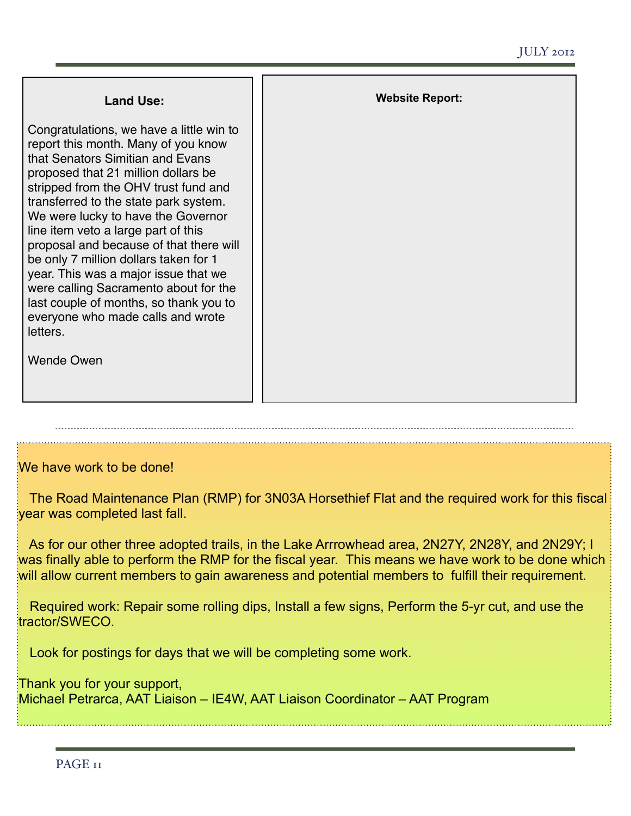| <b>Land Use:</b>                                                                                                                                                                                                                                                                                                                                                                                                                                                                                                                                                                                              | <b>Website Report:</b> |
|---------------------------------------------------------------------------------------------------------------------------------------------------------------------------------------------------------------------------------------------------------------------------------------------------------------------------------------------------------------------------------------------------------------------------------------------------------------------------------------------------------------------------------------------------------------------------------------------------------------|------------------------|
| Congratulations, we have a little win to<br>report this month. Many of you know<br>that Senators Simitian and Evans<br>proposed that 21 million dollars be<br>stripped from the OHV trust fund and<br>transferred to the state park system.<br>We were lucky to have the Governor<br>line item veto a large part of this<br>proposal and because of that there will<br>be only 7 million dollars taken for 1<br>year. This was a major issue that we<br>were calling Sacramento about for the<br>last couple of months, so thank you to<br>everyone who made calls and wrote<br>letters.<br><b>Wende Owen</b> |                        |

#### We have work to be done!

 The Road Maintenance Plan (RMP) for 3N03A Horsethief Flat and the required work for this fiscal year was completed last fall.

 As for our other three adopted trails, in the Lake Arrrowhead area, 2N27Y, 2N28Y, and 2N29Y; I was finally able to perform the RMP for the fiscal year. This means we have work to be done which will allow current members to gain awareness and potential members to fulfill their requirement.

 Required work: Repair some rolling dips, Install a few signs, Perform the 5-yr cut, and use the tractor/SWECO.

Look for postings for days that we will be completing some work.

Thank you for your support, Michael Petrarca, AAT Liaison – IE4W, AAT Liaison Coordinator – AAT Program